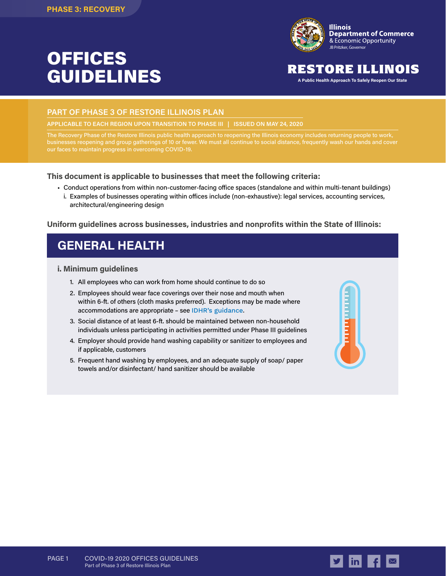# OFFICES GUIDELINES



### RESTORE ILLINOIS

**A Public Health Approach To Safely Reopen Our State**

#### **PART OF PHASE 3 OF RESTORE ILLINOIS PLAN**

**APPLICABLE TO EACH REGION UPON TRANSITION TO PHASE III | ISSUED ON MAY 24, 2020**

The Recovery Phase of the Restore Illinois public health approach to reopening the Illinois economy includes returning people to work, businesses reopening and group gatherings of 10 or fewer. We must all continue to social distance, frequently wash our hands and cover our faces to maintain progress in overcoming COVID-19.

#### **This document is applicable to businesses that meet the following criteria:**

- Conduct operations from within non-customer-facing office spaces (standalone and within multi-tenant buildings)
	- i. Examples of businesses operating within offices include (non-exhaustive): legal services, accounting services, architectural/engineering design

#### **Uniform guidelines across businesses, industries and nonprofits within the State of Illinois:**

### **GENERAL HEALTH**

#### **i. Minimum guidelines**

- 1. All employees who can work from home should continue to do so
- 2. Employees should wear face coverings over their nose and mouth when within 6-ft. of others (cloth masks preferred). Exceptions may be made where accommodations are appropriate – see [IDHR's guidance](https://www2.illinois.gov/dhr/Documents/IDHR_FAQ_for_Businesses_Concerning_Use_of_Face-Coverings_During_COVID-19_Ver_2020511b%20copy.pdf).
- 3. Social distance of at least 6-ft. should be maintained between non-household individuals unless participating in activities permitted under Phase III guidelines
- 4. Employer should provide hand washing capability or sanitizer to employees and if applicable, customers
- 5. Frequent hand washing by employees, and an adequate supply of soap/ paper towels and/or disinfectant/ hand sanitizer should be available





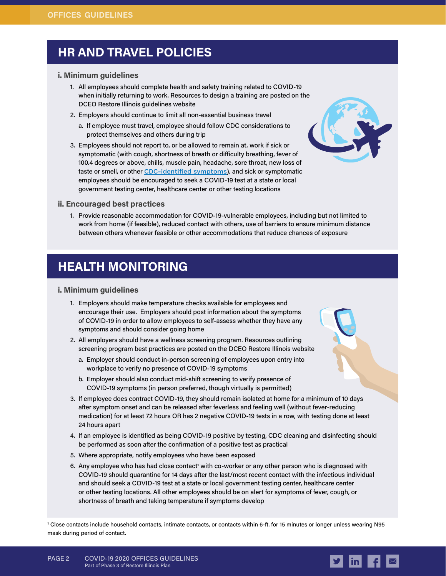### **HR AND TRAVEL POLICIES**

#### **i. Minimum guidelines**

- 1. All employees should complete health and safety training related to COVID-19 when initially returning to work. Resources to design a training are posted on the DCEO Restore Illinois guidelines website
- 2. Employers should continue to limit all non-essential business travel
	- a. If employee must travel, employee should follow CDC considerations to protect themselves and others during trip
- 3. Employees should not report to, or be allowed to remain at, work if sick or symptomatic (with cough, shortness of breath or difficulty breathing, fever of 100.4 degrees or above, chills, muscle pain, headache, sore throat, new loss of taste or smell, or other [CDC-identified symptoms](https://www.cdc.gov/coronavirus/2019-ncov/symptoms-testing/symptoms.html)), and sick or symptomatic employees should be encouraged to seek a COVID-19 test at a state or local government testing center, healthcare center or other testing locations



#### **ii. Encouraged best practices**

1. Provide reasonable accommodation for COVID-19-vulnerable employees, including but not limited to work from home (if feasible), reduced contact with others, use of barriers to ensure minimum distance between others whenever feasible or other accommodations that reduce chances of exposure

### **HEALTH MONITORING**

#### **i. Minimum guidelines**

- 1. Employers should make temperature checks available for employees and encourage their use. Employers should post information about the symptoms of COVID-19 in order to allow employees to self-assess whether they have any symptoms and should consider going home
- 2. All employers should have a wellness screening program. Resources outlining screening program best practices are posted on the DCEO Restore Illinois website
	- a. Employer should conduct in-person screening of employees upon entry into workplace to verify no presence of COVID-19 symptoms
	- b. Employer should also conduct mid-shift screening to verify presence of COVID-19 symptoms (in person preferred, though virtually is permitted)
- 3. If employee does contract COVID-19, they should remain isolated at home for a minimum of 10 days after symptom onset and can be released after feverless and feeling well (without fever-reducing medication) for at least 72 hours OR has 2 negative COVID-19 tests in a row, with testing done at least 24 hours apart
- 4. If an employee is identified as being COVID-19 positive by testing, CDC cleaning and disinfecting should be performed as soon after the confirmation of a positive test as practical
- 5. Where appropriate, notify employees who have been exposed
- 6. Any employee who has had close contact<sup>1</sup> with co-worker or any other person who is diagnosed with COVID-19 should quarantine for 14 days after the last/most recent contact with the infectious individual and should seek a COVID-19 test at a state or local government testing center, healthcare center or other testing locations. All other employees should be on alert for symptoms of fever, cough, or shortness of breath and taking temperature if symptoms develop

**1** Close contacts include household contacts, intimate contacts, or contacts within 6-ft. for 15 minutes or longer unless wearing N95 mask during period of contact.

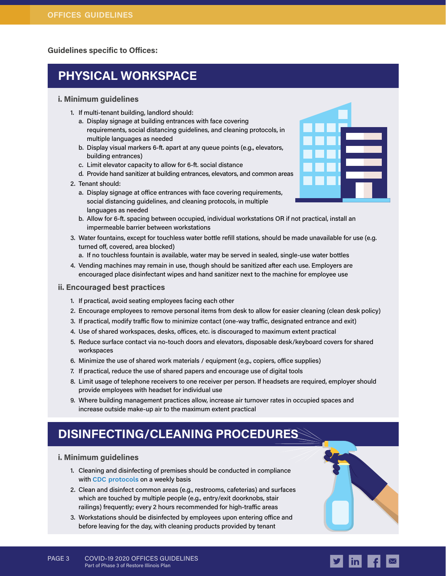**Guidelines specific to Offices:**

## **PHYSICAL WORKSPACE**

#### **i. Minimum guidelines**

- 1. If multi-tenant building, landlord should:
	- a. Display signage at building entrances with face covering requirements, social distancing guidelines, and cleaning protocols, in multiple languages as needed
	- b. Display visual markers 6-ft. apart at any queue points (e.g., elevators, building entrances)
	- c. Limit elevator capacity to allow for 6-ft. social distance
	- d. Provide hand sanitizer at building entrances, elevators, and common areas
- 2. Tenant should:
	- a. Display signage at office entrances with face covering requirements, social distancing guidelines, and cleaning protocols, in multiple languages as needed
	- b. Allow for 6-ft. spacing between occupied, individual workstations OR if not practical, install an impermeable barrier between workstations
- 3. Water fountains, except for touchless water bottle refill stations, should be made unavailable for use (e.g. turned off, covered, area blocked)
	- a. If no touchless fountain is available, water may be served in sealed, single-use water bottles
- 4. Vending machines may remain in use, though should be sanitized after each use. Employers are encouraged place disinfectant wipes and hand sanitizer next to the machine for employee use

#### **ii. Encouraged best practices**

- 1. If practical, avoid seating employees facing each other
- 2. Encourage employees to remove personal items from desk to allow for easier cleaning (clean desk policy)
- 3. If practical, modify traffic flow to minimize contact (one-way traffic, designated entrance and exit)
- 4. Use of shared workspaces, desks, offices, etc. is discouraged to maximum extent practical
- 5. Reduce surface contact via no-touch doors and elevators, disposable desk/keyboard covers for shared workspaces
- 6. Minimize the use of shared work materials / equipment (e.g., copiers, office supplies)
- 7. If practical, reduce the use of shared papers and encourage use of digital tools
- 8. Limit usage of telephone receivers to one receiver per person. If headsets are required, employer should provide employees with headset for individual use
- 9. Where building management practices allow, increase air turnover rates in occupied spaces and increase outside make-up air to the maximum extent practical

### **DISINFECTING/CLEANING PROCEDURES**

#### **i. Minimum guidelines**

- 1. Cleaning and disinfecting of premises should be conducted in compliance with [CDC protocols](https://www.cdc.gov/coronavirus/2019-ncov/community/pdf/Reopening_America_Guidance.pdf) on a weekly basis
- 2. Clean and disinfect common areas (e.g., restrooms, cafeterias) and surfaces which are touched by multiple people (e.g., entry/exit doorknobs, stair railings) frequently; every 2 hours recommended for high-traffic areas
- 3. Workstations should be disinfected by employees upon entering office and before leaving for the day, with cleaning products provided by tenant



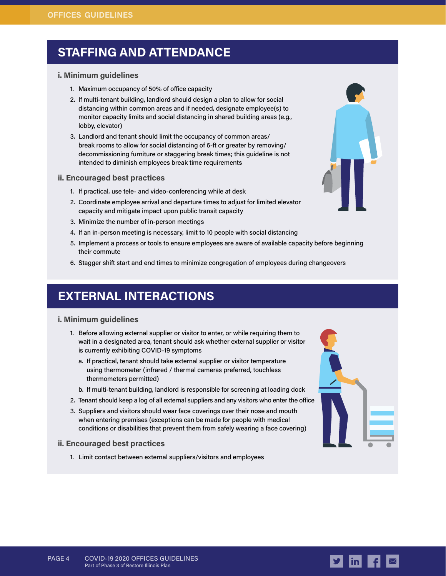### **STAFFING AND ATTENDANCE**

#### **i. Minimum guidelines**

- 1. Maximum occupancy of 50% of office capacity
- 2. If multi-tenant building, landlord should design a plan to allow for social distancing within common areas and if needed, designate employee(s) to monitor capacity limits and social distancing in shared building areas (e.g., lobby, elevator)
- 3. Landlord and tenant should limit the occupancy of common areas/ break rooms to allow for social distancing of 6-ft or greater by removing/ decommissioning furniture or staggering break times; this guideline is not intended to diminish employees break time requirements

#### **ii. Encouraged best practices**

- 1. If practical, use tele- and video-conferencing while at desk
- 2. Coordinate employee arrival and departure times to adjust for limited elevator capacity and mitigate impact upon public transit capacity
- 3. Minimize the number of in-person meetings
- 4. If an in-person meeting is necessary, limit to 10 people with social distancing
- 5. Implement a process or tools to ensure employees are aware of available capacity before beginning their commute
- 6. Stagger shift start and end times to minimize congregation of employees during changeovers

### **EXTERNAL INTERACTIONS**

#### **i. Minimum guidelines**

- 1. Before allowing external supplier or visitor to enter, or while requiring them to wait in a designated area, tenant should ask whether external supplier or visitor is currently exhibiting COVID-19 symptoms
	- a. If practical, tenant should take external supplier or visitor temperature using thermometer (infrared / thermal cameras preferred, touchless thermometers permitted)
	- b. If multi-tenant building, landlord is responsible for screening at loading dock
- 2. Tenant should keep a log of all external suppliers and any visitors who enter the office
- 3. Suppliers and visitors should wear face coverings over their nose and mouth when entering premises (exceptions can be made for people with medical conditions or disabilities that prevent them from safely wearing a face covering)

#### **ii. Encouraged best practices**

1. Limit contact between external suppliers/visitors and employees